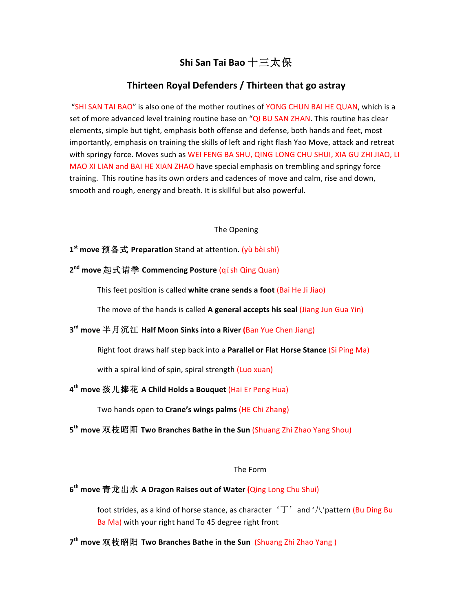# **Shi San Tai Bao** 十三太保

## **Thirteen Royal Defenders / Thirteen that go astray**

"SHI SAN TAI BAO" is also one of the mother routines of YONG CHUN BAI HE QUAN, which is a set of more advanced level training routine base on "QI BU SAN ZHAN. This routine has clear elements, simple but tight, emphasis both offense and defense, both hands and feet, most importantly, emphasis on training the skills of left and right flash Yao Move, attack and retreat with springy force. Moves such as WEI FENG BA SHU, QING LONG CHU SHUI, XIA GU ZHI JIAO, LI MAO XI LIAN and BAI HE XIAN ZHAO have special emphasis on trembling and springy force training. This routine has its own orders and cadences of move and calm, rise and down, smooth and rough, energy and breath. It is skillful but also powerful.

#### The Opening

### **1st move** 预备式 **Preparation** Stand at attention. (yù bèi shì)

### **2nd move** 起式请拳 **Commencing Posture** (qǐsh Qing Quan)

This feet position is called white crane sends a foot (Bai He Ji Jiao)

The move of the hands is called A general accepts his seal (Jiang Jun Gua Yin)

# **3rd move** 半月沉江 **Half Moon Sinks into a River (**Ban Yue Chen Jiang)

Right foot draws half step back into a **Parallel or Flat Horse Stance** (Si Ping Ma)

with a spiral kind of spin, spiral strength (Luo xuan)

# **4th move** 孩儿捧花 **A Child Holds a Bouquet** (Hai Er Peng Hua)

Two hands open to **Crane's wings palms** (HE Chi Zhang)

**5th move** 双枝昭阳 **Two Branches Bathe in the Sun** (Shuang Zhi Zhao Yang Shou)

#### The Form

### **6th move** 青龙出水 **A Dragon Raises out of Water (**Qing Long Chu Shui)

foot strides, as a kind of horse stance, as character  $\sqrt{T'}$  and  $\sqrt{T}$  pattern (Bu Ding Bu Ba Ma) with your right hand To 45 degree right front

**7th move** 双枝昭阳 **Two Branches Bathe in the Sun** (Shuang Zhi Zhao Yang )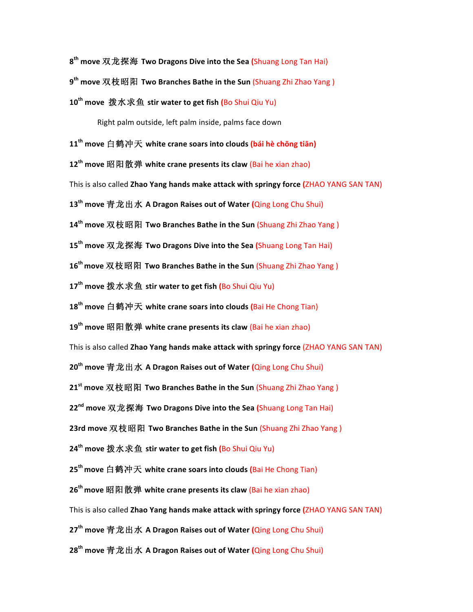**8th move** 双龙探海 **Two Dragons Dive into the Sea (**Shuang Long Tan Hai) **9th move** 双枝昭阳 **Two Branches Bathe in the Sun** (Shuang Zhi Zhao Yang ) 10<sup>th</sup> move 拨水求鱼 stir water to get fish (Bo Shui Qiu Yu) Right palm outside, left palm inside, palms face down **11th move** 白鹤冲天 **white crane soars into clouds (bái hè chōng tiān) 12<sup>th</sup> move 昭阳散弹 white crane presents its claw (Bai he xian zhao)** This is also called **Zhao Yang hands make attack with springy force (ZHAO YANG SAN TAN)** 

**13th move** 青龙出水 **A Dragon Raises out of Water (**Qing Long Chu Shui)

14<sup>th</sup> move 双枝昭阳 Two Branches Bathe in the Sun (Shuang Zhi Zhao Yang)

**15th move** 双龙探海 **Two Dragons Dive into the Sea (**Shuang Long Tan Hai)

**16<sup>th</sup> move** 双枝昭阳 Two Branches Bathe in the Sun (Shuang Zhi Zhao Yang)

**17th move** 拨水求鱼 **stir water to get fish (**Bo Shui Qiu Yu)

18<sup>th</sup> move 白鹤冲天 white crane soars into clouds (Bai He Chong Tian)

**19<sup>th</sup> move 昭阳散弹 white crane presents its claw (Bai he xian zhao)** 

This is also called **Zhao Yang hands make attack with springy force** (ZHAO YANG SAN TAN)

**20th move** 青龙出水 **A Dragon Raises out of Water (**Qing Long Chu Shui)

**21<sup>st</sup> move** 双枝昭阳 Two Branches Bathe in the Sun (Shuang Zhi Zhao Yang)

**22nd move** 双龙探海 **Two Dragons Dive into the Sea (**Shuang Long Tan Hai)

**23rd move 双枝昭阳 Two Branches Bathe in the Sun (Shuang Zhi Zhao Yang)** 

**24th move** 拨水求鱼 **stir water to get fish (**Bo Shui Qiu Yu)

**25<sup>th</sup> move** 白鹤冲天 white crane soars into clouds (Bai He Chong Tian)

**26<sup>th</sup> move 昭阳散弹 white crane presents its claw (Bai he xian zhao)** 

This is also called **Zhao Yang hands make attack with springy force (ZHAO YANG SAN TAN)** 

**27th move** 青龙出水 **A Dragon Raises out of Water (**Qing Long Chu Shui)

**28th move** 青龙出水 **A Dragon Raises out of Water (**Qing Long Chu Shui)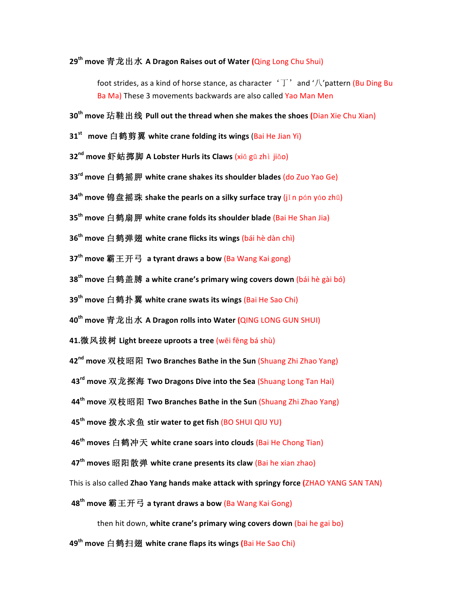### **29th move** 青龙出水 **A Dragon Raises out of Water (**Qing Long Chu Shui)

foot strides, as a kind of horse stance, as character  $\Delta$   $\Box$  and  $\Delta$  ' $\Box$  attern (Bu Ding Bu Ba Ma) These 3 movements backwards are also called Yao Man Men

- **30th move** 玷鞋出线 **Pull out the thread when she makes the shoes (**Dian Xie Chu Xian)
- **31<sup>st</sup> move** 白鹤剪翼 white crane folding its wings (Bai He Jian Yi)
- 32<sup>nd</sup> move 虾蛄掷脚 A Lobster Hurls its Claws (xiā gū zhì jiǎo)
- **33<sup>rd</sup> move** 白鹤摇胛 white crane shakes its shoulder blades (do Zuo Yao Ge)
- **34<sup>th</sup> move 锦盘摇珠 shake the pearls on a silky surface tray (jin pán yáo zhū)**
- **35<sup>th</sup> move** 白鹤扇胛 white crane folds its shoulder blade (Bai He Shan Jia)
- **36<sup>th</sup> move** 白鹤弹翅 white crane flicks its wings (bái hè dàn chì)
- **37th move** 霸王开弓 **a tyrant draws a bow** (Ba Wang Kai gong)
- **38<sup>th</sup> move** 白鹤盖膊 a white crane's primary wing covers down (bái hè gài bó)
- **39th move** 白鹤扑翼 **white crane swats its wings** (Bai He Sao Chi)
- **40th move** 青龙出水 **A Dragon rolls into Water (**QING LONG GUN SHUI)
- **41.微风拔树 Light breeze uproots a tree (wēi fēng bá shù)**
- **42<sup>nd</sup> move 双枝昭阳 Two Branches Bathe in the Sun (Shuang Zhi Zhao Yang)**
- **43<sup>rd</sup> move 双龙探海 Two Dragons Dive into the Sea (Shuang Long Tan Hai)**
- **44<sup>th</sup> move 双枝昭阳 Two Branches Bathe in the Sun (Shuang Zhi Zhao Yang)**
- **45<sup>th</sup> move 拨水求鱼 stir water to get fish (BO SHUI QIU YU)**
- **46<sup>th</sup> moves** 白鹤冲天 white crane soars into clouds (Bai He Chong Tian)
- **47<sup>th</sup> moves 昭阳散弹 white crane presents its claw (Bai he xian zhao)**
- This is also called **Zhao Yang hands make attack with springy force (ZHAO YANG SAN TAN)**
- **48th move** 霸王开弓 **a tyrant draws a bow** (Ba Wang Kai Gong)

then hit down, white crane's primary wing covers down (bai he gai bo)

**49th move** 白鹤扫翅 **white crane flaps its wings (**Bai He Sao Chi)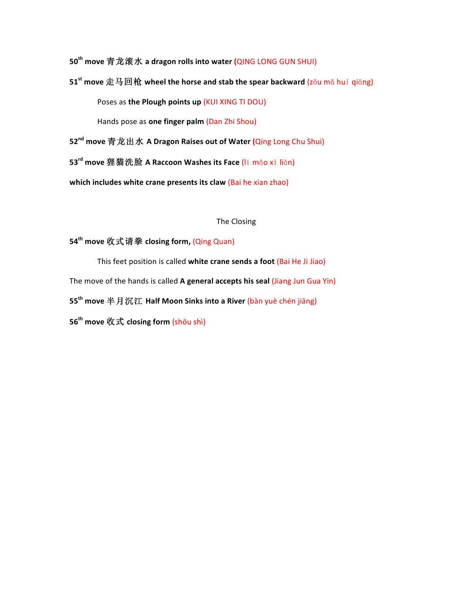**50th move** 青龙滚水 **a dragon rolls into water (**QING LONG GUN SHUI)

**51<sup>st</sup> move 走马回枪 wheel the horse and stab the spear backward (zǒu mǎ huí qiāng)** Poses as the Plough points up (KUI XING TI DOU)

Hands pose as **one finger palm** (Dan Zhi Shou)

**52nd move** 青龙出水 **A Dragon Raises out of Water (**Qing Long Chu Shui)

**53rd move** 狸猫洗脸 **A Raccoon Washes its Face** (lí māo xǐ liǎn)

**which includes white crane presents its claw (Bai he xian zhao)** 

### The Closing

### **54<sup>th</sup> move** 收式请拳 closing form, (Qing Quan)

This feet position is called white crane sends a foot (Bai He Ji Jiao) The move of the hands is called A general accepts his seal (Jiang Jun Gua Yin) **55<sup>th</sup> move** 半月沉江 Half Moon Sinks into a River (bàn yuè chén jiāng) **56th move** 收式 **closing form** (shōu shì)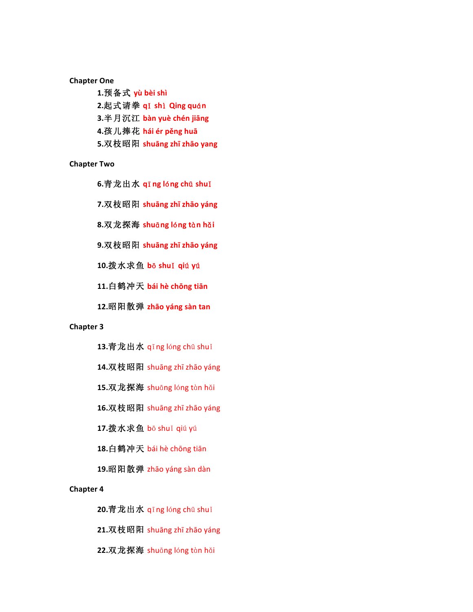**Chapter One**

1.预备式 yù bèi shì **2.**起式请拳 **q**ǐ **sh**ì **Qing qu**á**n 3.**半月沉江 **bàn yuè chén jiāng** 

4.孩儿捧花 hái ér pěng huā

**5.**双枝昭阳 **shuāng zhī zhāo yang**

**Chapter Two**

**6.**青龙出水 **q**ī**ng l**ó**ng ch**ū **shu**ǐ

**7.**双枝昭阳 **shuāng zhī zhāo yáng** 

**8.双龙探海 shuāng lóng tàn hǎi** 

**9.双枝昭阳 shuāng zhī zhāo yáng** 

**10.**拨水求鱼 **b**ō **shu**ǐ **qi**ú **y**ú

11.白鹤冲天 bái hè chōng tiān

**12.**昭阳散弹 **zhāo yáng sàn tan**

#### **Chapter 3**

13.青龙出水 qīng lóng chū shuǐ

14. 双枝昭阳 shuāng zhī zhāo yáng

15.双龙探海 shuāng lóng tàn hǎi

16.双枝昭阳 shuāng zhī zhāo yáng

**17.**拨水求鱼 bō shuǐ qiú yú

18.白鹤冲天 bái hè chōng tiān

19.昭阳散弹 zhāo yáng sàn dàn

#### **Chapter 4**

**20.青龙出水 qīng lóng chū shuǐ** 

21. 双枝昭阳 shuāng zhī zhāo yáng

22.双龙探海 shuāng lóng tàn hǎi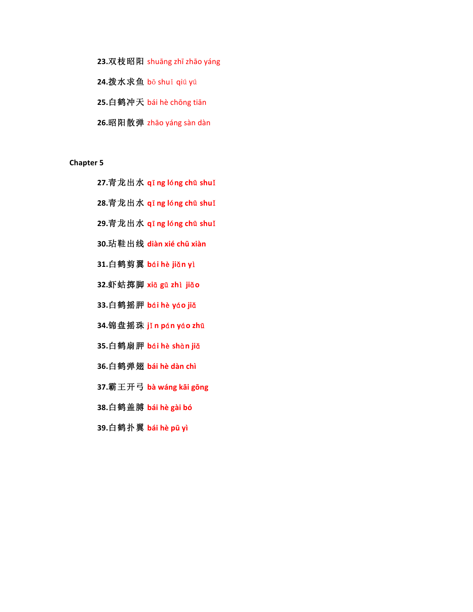- 23. 双枝昭阳 shuāng zhī zhāo yáng
- **24.**拨水求鱼 bō shuǐ qiú yú
- 25.白鹤冲天 bái hè chōng tiān
- **26.**昭阳散弹 zhāo yáng sàn dàn

**Chapter 5** 

- **27.**青龙出水 **q**ī**ng l**ó**ng ch**ū **shu**ǐ
- **28.青龙出水 qī ng lóng chū shuǐ**
- **29.青龙出水 qī ng lóng chū shuǐ**
- **30.**玷鞋出线 **diàn xié chū xiàn**
- **31.**白鹤剪翼 **b**á**i h**è **ji**ǎ**n y**ì
- **32.**虾蛄掷脚 **xi**ā **g**ū **zh**ì **ji**ǎ**o**
- 33.白鹤摇胛 **b**ái hè yáo jiǎ
- **34.**锦盘摇珠 **j**ǐ**n p**á**n y**á**o zh**ū
- **35.**白鹤扇胛 **b**á**i h**è **sh**à**n ji**ǎ
- 36.白鹤弹翅 bái hè dàn chì
- **37.**霸王开弓 **bà wáng kāi gōng**
- 38.白鹤盖膊 **bái hè gài bó**
- **39.白鹤扑翼 bái hè pū yì**